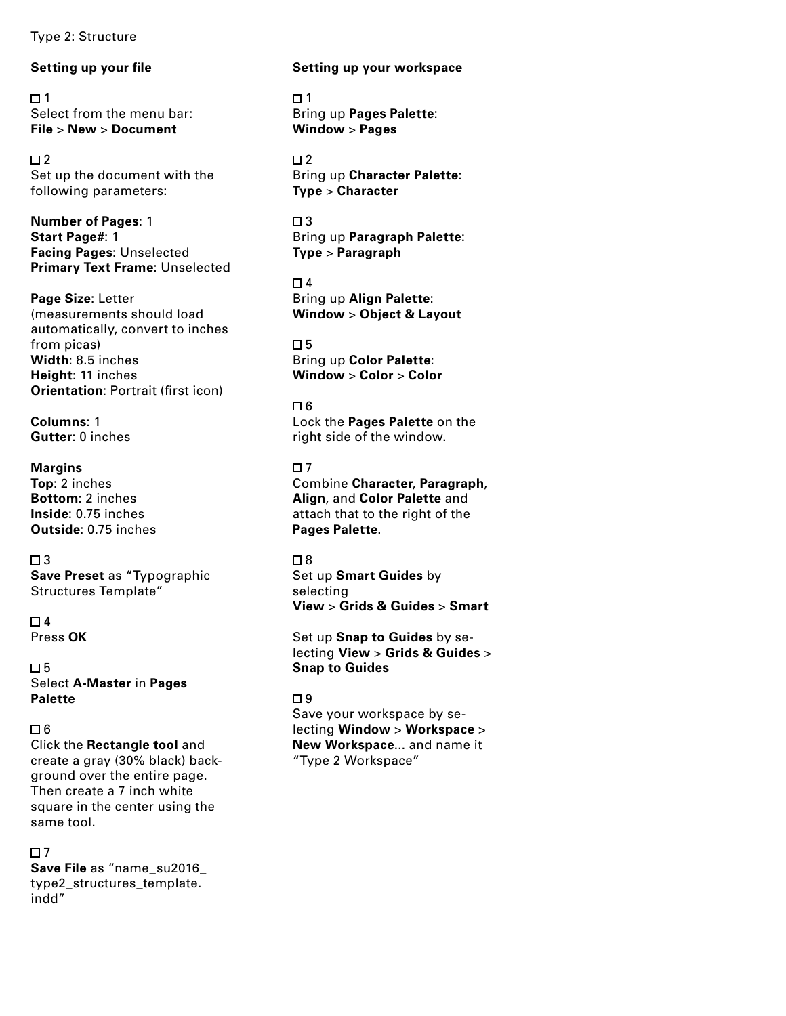Type 2: Structure

# **Setting up your file**

 $\square$  1 Select from the menu bar: **File** > **New** > **Document**

 $\Box$  2 Set up the document with the following parameters:

**Number of Pages**: 1 **Start Page#**: 1 **Facing Pages**: Unselected **Primary Text Frame**: Unselected

**Page Size**: Letter (measurements should load automatically, convert to inches from picas) **Width**: 8.5 inches **Height**: 11 inches **Orientation**: Portrait (first icon)

**Columns**: 1 **Gutter**: 0 inches

**Margins Top**: 2 inches **Bottom**: 2 inches **Inside**: 0.75 inches **Outside**: 0.75 inches

 $\Box$ 3 **Save Preset** as "Typographic Structures Template"

 $\Box$  4 Press **OK**

 $\Box$  5 Select **A-Master** in **Pages Palette**

# $\Box$  6

Click the **Rectangle tool** and create a gray (30% black) background over the entire page. Then create a 7 inch white square in the center using the same tool.

 $\Box$  7 **Save File** as "name\_su2016\_ type2\_structures\_template. indd"

## **Setting up your workspace**

 $\Box$  1 Bring up **Pages Palette**: **Window** > **Pages**

 $\Box$  2 Bring up **Character Palette**: **Type** > **Character**

 $\Box$ 3 Bring up **Paragraph Palette**: **Type** > **Paragraph**

 $\Box$  4 Bring up **Align Palette**: **Window** > **Object & Layout**

 $\Box$  5 Bring up **Color Palette**: **Window** > **Color** > **Color**

 $\Box$  6 Lock the **Pages Palette** on the right side of the window.

 $\Box$ 7 Combine **Character**, **Paragraph**, **Align**, and **Color Palette** and attach that to the right of the **Pages Palette**.

# □8

Set up **Smart Guides** by selecting **View** > **Grids & Guides** > **Smart**

Set up **Snap to Guides** by selecting **View** > **Grids & Guides** > **Snap to Guides**

# □ 9

Save your workspace by selecting **Window** > **Workspace** > **New Workspace**... and name it "Type 2 Workspace"